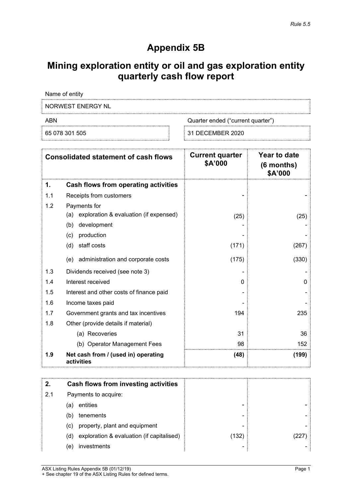## **Appendix 5B**

# **Mining exploration entity or oil and gas exploration entity quarterly cash flow report**

Name of entity

NORWEST ENERGY NL

ABN Cuarter ended ("current quarter")

65 078 301 505 31 DECEMBER 2020

| <b>Consolidated statement of cash flows</b> |                                                   | <b>Current quarter</b><br>\$A'000 | Year to date<br>$(6$ months)<br>\$A'000 |
|---------------------------------------------|---------------------------------------------------|-----------------------------------|-----------------------------------------|
| 1.                                          | Cash flows from operating activities              |                                   |                                         |
| 1.1                                         | Receipts from customers                           |                                   |                                         |
| 1.2                                         | Payments for                                      |                                   |                                         |
|                                             | exploration & evaluation (if expensed)<br>(a)     | (25)                              | (25)                                    |
|                                             | (b)<br>development                                |                                   |                                         |
|                                             | production<br>(c)                                 |                                   |                                         |
|                                             | staff costs<br>(d)                                | (171)                             | (267)                                   |
|                                             | administration and corporate costs<br>(e)         | (175)                             | (330)                                   |
| 1.3                                         | Dividends received (see note 3)                   |                                   |                                         |
| 1.4                                         | Interest received                                 | 0                                 | $\Omega$                                |
| 1.5                                         | Interest and other costs of finance paid          |                                   |                                         |
| 1.6                                         | Income taxes paid                                 |                                   |                                         |
| 1.7                                         | Government grants and tax incentives              | 194                               | 235                                     |
| 1.8                                         | Other (provide details if material)               |                                   |                                         |
|                                             | (a) Recoveries                                    | 31                                | 36                                      |
|                                             | (b) Operator Management Fees                      | 98                                | 152                                     |
| 1.9                                         | Net cash from / (used in) operating<br>activities | (48)                              | (199)                                   |

|     | Cash flows from investing activities             |     |  |
|-----|--------------------------------------------------|-----|--|
| 2.1 | Payments to acquire:                             |     |  |
|     | entities<br>(a)                                  | -   |  |
|     | tenements<br>(b)                                 | -   |  |
|     | property, plant and equipment<br>(C)             | -   |  |
|     | exploration & evaluation (if capitalised)<br>(d) | 132 |  |
|     | investments<br>(e)                               | -   |  |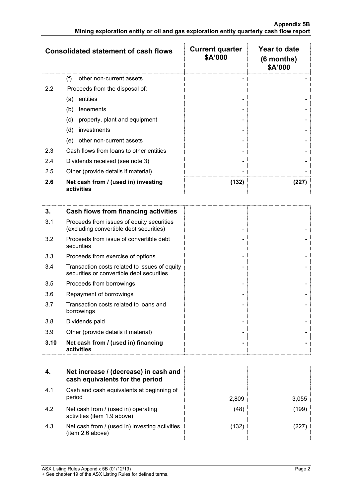|                  | <b>Consolidated statement of cash flows</b>       | <b>Current quarter</b><br>\$A'000 | Year to date<br>$(6$ months)<br>\$A'000 |
|------------------|---------------------------------------------------|-----------------------------------|-----------------------------------------|
|                  | (f)<br>other non-current assets                   |                                   |                                         |
| $2.2\phantom{0}$ | Proceeds from the disposal of:                    |                                   |                                         |
|                  | entities<br>(a)                                   |                                   |                                         |
|                  | tenements<br>(b)                                  |                                   |                                         |
|                  | property, plant and equipment<br>(c)              |                                   |                                         |
|                  | investments<br>(d)                                |                                   |                                         |
|                  | other non-current assets<br>(e)                   |                                   |                                         |
| 2.3              | Cash flows from loans to other entities           |                                   |                                         |
| 2.4              | Dividends received (see note 3)                   |                                   |                                         |
| 2.5              | Other (provide details if material)               |                                   |                                         |
| 2.6              | Net cash from / (used in) investing<br>activities | (132)                             | 227                                     |

| 3.   | Cash flows from financing activities                                                       |  |
|------|--------------------------------------------------------------------------------------------|--|
| 3.1  | Proceeds from issues of equity securities<br>(excluding convertible debt securities)       |  |
| 3.2  | Proceeds from issue of convertible debt<br>securities                                      |  |
| 3.3  | Proceeds from exercise of options                                                          |  |
| 3.4  | Transaction costs related to issues of equity<br>securities or convertible debt securities |  |
| 3.5  | Proceeds from borrowings                                                                   |  |
| 3.6  | Repayment of borrowings                                                                    |  |
| 3.7  | Transaction costs related to loans and<br>borrowings                                       |  |
| 3.8  | Dividends paid                                                                             |  |
| 3.9  | Other (provide details if material)                                                        |  |
| 3.10 | Net cash from / (used in) financing<br>activities                                          |  |

|     | Net increase / (decrease) in cash and<br>cash equivalents for the period |       |       |
|-----|--------------------------------------------------------------------------|-------|-------|
| 4.1 | Cash and cash equivalents at beginning of<br>period                      | 2.809 | 3,055 |
| 4.2 | Net cash from / (used in) operating<br>activities (item 1.9 above)       | 48    | 199   |
| 4.3 | Net cash from / (used in) investing activities<br>(item 2.6 above)       | 132   |       |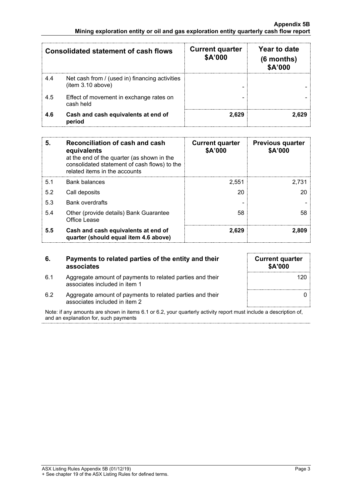|     | Consolidated statement of cash flows                               | <b>Current quarter</b><br>\$A'000 | Year to date<br>$(6$ months)<br><b>\$A'000</b> |
|-----|--------------------------------------------------------------------|-----------------------------------|------------------------------------------------|
| 4.4 | Net cash from / (used in) financing activities<br>item 3.10 above) |                                   |                                                |
| 4.5 | Effect of movement in exchange rates on<br>cash held               |                                   |                                                |
| 4.6 | Cash and cash equivalents at end of<br>period                      | 2.629                             |                                                |

| 5.  | Reconciliation of cash and cash<br>equivalents<br>at the end of the quarter (as shown in the<br>consolidated statement of cash flows) to the<br>related items in the accounts | <b>Current quarter</b><br>\$A'000 | <b>Previous quarter</b><br>\$A'000 |
|-----|-------------------------------------------------------------------------------------------------------------------------------------------------------------------------------|-----------------------------------|------------------------------------|
| 5.1 | <b>Bank balances</b>                                                                                                                                                          | 2.551                             | 2.731                              |
| 5.2 | Call deposits                                                                                                                                                                 | 20                                | 20                                 |
| 5.3 | <b>Bank overdrafts</b>                                                                                                                                                        |                                   |                                    |
| 5.4 | Other (provide details) Bank Guarantee<br>Office Lease                                                                                                                        | 58                                | 58                                 |
| 5.5 | Cash and cash equivalents at end of<br>quarter (should equal item 4.6 above)                                                                                                  | 2.629                             | 2.809                              |

#### **6. Payments to related parties of the entity and their associates**

6.1 Aggregate amount of payments to related parties and their

| <b>Current quarter</b><br>\$A'000 |     |
|-----------------------------------|-----|
|                                   | 120 |
|                                   |     |

associates included in item 1 6.2 Aggregate amount of payments to related parties and their associates included in item 2

Note: if any amounts are shown in items 6.1 or 6.2, your quarterly activity report must include a description of, and an explanation for, such payments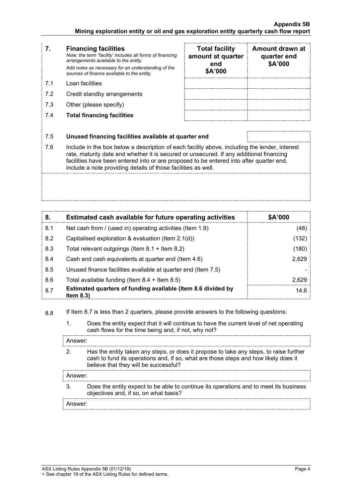### **7. Financing facilities**

*Note: the term "facility' includes all forms of financing arrangements available to the entity. Add notes as necessary for an understanding of the sources of finance available to the entity.*

- 7.1 Loan facilities
- 7.2 Credit standby arrangements
- 7.3 Other (please specify)
- 7.4 **Total financing facilities**

| <b>Total facility</b><br>amount at quarter<br>end<br>\$A'000 | Amount drawn at<br>quarter end<br>\$A'000 |
|--------------------------------------------------------------|-------------------------------------------|
|                                                              |                                           |
|                                                              |                                           |
|                                                              |                                           |

### 7.5 **Unused financing facilities available at quarter end**

7.6 Include in the box below a description of each facility above, including the lender, interest rate, maturity date and whether it is secured or unsecured. If any additional financing facilities have been entered into or are proposed to be entered into after quarter end, include a note providing details of those facilities as well.

| 8.  | Estimated cash available for future operating activities                   | \$A'000 |
|-----|----------------------------------------------------------------------------|---------|
| 8.1 | Net cash from / (used in) operating activities (Item 1.9)                  | (48)    |
| 8.2 | Capitalised exploration & evaluation (Item 2.1(d))                         | (132)   |
| 8.3 | Total relevant outgoings (Item $8.1 +$ Item $8.2$ )                        | (180)   |
| 8.4 | Cash and cash equivalents at quarter end (Item 4.6)                        | 2,629   |
| 8.5 | Unused finance facilities available at quarter end (Item 7.5)              |         |
| 8.6 | Total available funding (Item $8.4 +$ Item $8.5$ )                         | 2.629   |
| 8.7 | Estimated quarters of funding available (Item 8.6 divided by<br>Item $8.3$ | 14.6    |

8.8 If Item 8.7 is less than 2 quarters, please provide answers to the following questions:

1. Does the entity expect that it will continue to have the current level of net operating cash flows for the time being and, if not, why not?

| Answer:             |                                                                                                                                                                                                                        |
|---------------------|------------------------------------------------------------------------------------------------------------------------------------------------------------------------------------------------------------------------|
|                     | Has the entity taken any steps, or does it propose to take any steps, to raise further<br>cash to fund its operations and, if so, what are those steps and how likely does it<br>believe that they will be successful? |
| Answer <sup>.</sup> |                                                                                                                                                                                                                        |
|                     | Does the entity expect to be able to continue its operations and to meet its business<br>objectives and, if so, on what basis?                                                                                         |
| nswer <sup>.</sup>  |                                                                                                                                                                                                                        |